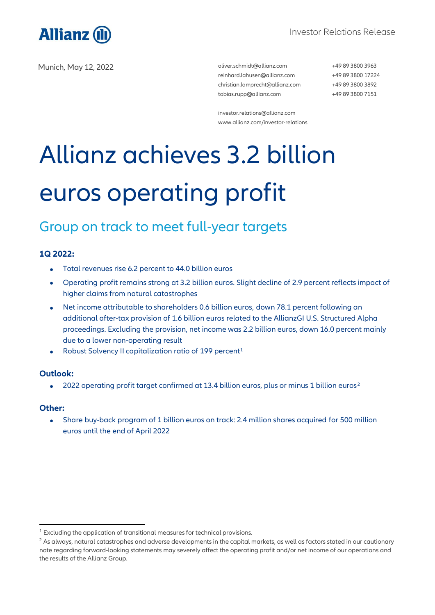

Munich, May 12, 2022 **and Struth and Struth and Struth and Struth and Struth and Struth and Struth and Struth and Struth and Struth and Struth and Struth and Struth and Struth and Struth and Struth and Struth and Struth an** 

[reinhard.lahusen@allianz.com](mailto:reinhard.lahusen@allianz.com) [christian.lamprecht@allianz.com](mailto:christian.lamprecht@allianz.com) [tobias.rupp@allianz.com](mailto:tobias.rupp@allianz.com)

+49 89 3800 3963 +49 89 3800 17224 +49 89 3800 3892 +49 89 3800 7151

[investor.relations@allianz.com](mailto:investor.relations@allianz.com) [www.allianz.com/investor-relations](http://www.allianz.com/investor-relations)

# Allianz achieves 3.2 billion euros operating profit

### Group on track to meet full-year targets

### **1Q 2022:**

- Total revenues rise 6.2 percent to 44.0 billion euros
- Operating profit remains strong at 3.2 billion euros. Slight decline of 2.9 percent reflects impact of higher claims from natural catastrophes
- Net income attributable to shareholders 0.6 billion euros, down 78.1 percent following an additional after-tax provision of 1.6 billion euros related to the AllianzGI U.S. Structured Alpha proceedings. Excluding the provision, net income was 2.2 billion euros, down 16.0 percent mainly due to a lower non-operating result
- Robust Solvency II capitalization ratio of 199 percent<sup>1</sup>

### **Outlook:**

• 2022 operating profit target confirmed at 13.4 billion euros, plus or minus 1 billion euros<sup>2</sup>

### **Other:**

-

• Share buy-back program of 1 billion euros on track: 2.4 million shares acquired for 500 million euros until the end of April 2022

<sup>&</sup>lt;sup>1</sup> Excluding the application of transitional measures for technical provisions.

 $2$  As always, natural catastrophes and adverse developments in the capital markets, as well as factors stated in our cautionary note regarding forward-looking statements may severely affect the operating profit and/or net income of our operations and the results of the Allianz Group.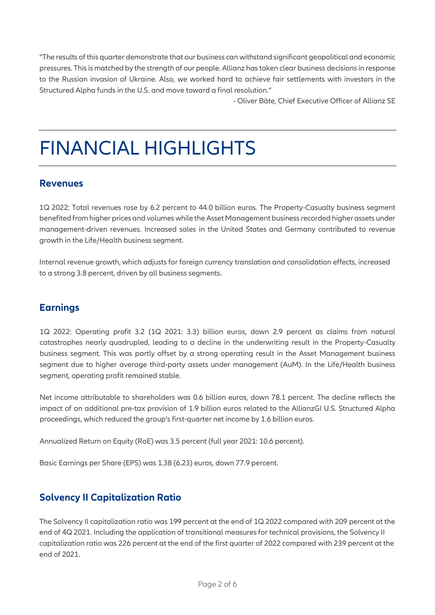"The results of this quarter demonstrate that our business can withstand significant geopolitical and economic pressures. This is matched by the strength of our people. Allianz has taken clear business decisions in response to the Russian invasion of Ukraine. Also, we worked hard to achieve fair settlements with investors in the Structured Alpha funds in the U.S. and move toward a final resolution."

- Oliver Bäte, Chief Executive Officer of Allianz SE

### FINANCIAL HIGHLIGHTS

### **Revenues**

1Q 2022: Total revenues rose by 6.2 percent to 44.0 billion euros. The Property-Casualty business segment benefited from higher prices and volumes while the Asset Management business recorded higher assets under management-driven revenues. Increased sales in the United States and Germany contributed to revenue growth in the Life/Health business segment.

Internal revenue growth, which adjusts for foreign currency translation and consolidation effects, increased to a strong 3.8 percent, driven by all business segments.

### **Earnings**

1Q 2022: Operating profit 3.2 (1Q 2021: 3.3) billion euros, down 2.9 percent as claims from natural catastrophes nearly quadrupled, leading to a decline in the underwriting result in the Property-Casualty business segment. This was partly offset by a strong operating result in the Asset Management business segment due to higher average third-party assets under management (AuM). In the Life/Health business segment, operating profit remained stable.

Net income attributable to shareholders was 0.6 billion euros, down 78.1 percent. The decline reflects the impact of an additional pre-tax provision of 1.9 billion euros related to the AllianzGI U.S. Structured Alpha proceedings, which reduced the group's first-quarter net income by 1.6 billion euros.

Annualized Return on Equity (RoE) was 3.5 percent (full year 2021: 10.6 percent).

Basic Earnings per Share (EPS) was 1.38 (6.23) euros, down 77.9 percent.

### **Solvency II Capitalization Ratio**

The Solvency II capitalization ratio was 199 percent at the end of 1Q 2022 compared with 209 percent at the end of 4Q 2021. Including the application of transitional measures for technical provisions, the Solvency II capitalization ratio was 226 percent at the end of the first quarter of 2022 compared with 239 percent at the end of 2021.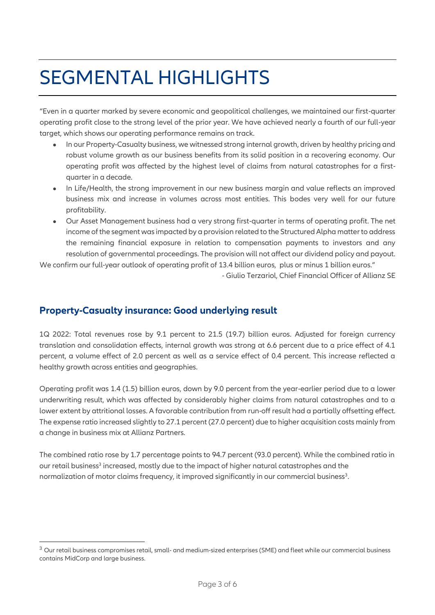## SEGMENTAL HIGHLIGHTS

"Even in a quarter marked by severe economic and geopolitical challenges, we maintained our first-quarter operating profit close to the strong level of the prior year. We have achieved nearly a fourth of our full-year target, which shows our operating performance remains on track.

- In our Property-Casualty business, we witnessed strong internal growth, driven by healthy pricing and robust volume growth as our business benefits from its solid position in a recovering economy. Our operating profit was affected by the highest level of claims from natural catastrophes for a firstquarter in a decade.
- In Life/Health, the strong improvement in our new business margin and value reflects an improved business mix and increase in volumes across most entities. This bodes very well for our future profitability.
- Our Asset Management business had a very strong first-quarter in terms of operating profit. The net income of the segment was impacted by a provision related to the Structured Alpha matter to address the remaining financial exposure in relation to compensation payments to investors and any resolution of governmental proceedings. The provision will not affect our dividend policy and payout.

We confirm our full-year outlook of operating profit of 13.4 billion euros, plus or minus 1 billion euros." - Giulio Terzariol, Chief Financial Officer of Allianz SE

### **Property-Casualty insurance: Good underlying result**

-

1Q 2022: Total revenues rose by 9.1 percent to 21.5 (19.7) billion euros. Adjusted for foreign currency translation and consolidation effects, internal growth was strong at 6.6 percent due to a price effect of 4.1 percent, a volume effect of 2.0 percent as well as a service effect of 0.4 percent. This increase reflected a healthy growth across entities and geographies.

Operating profit was 1.4 (1.5) billion euros, down by 9.0 percent from the year-earlier period due to a lower underwriting result, which was affected by considerably higher claims from natural catastrophes and to a lower extent by attritional losses. A favorable contribution from run-off result had a partially offsetting effect. The expense ratio increased slightly to 27.1 percent (27.0 percent) due to higher acquisition costs mainly from a change in business mix at Allianz Partners.

The combined ratio rose by 1.7 percentage points to 94.7 percent (93.0 percent). While the combined ratio in our retail business<sup>3</sup> increased, mostly due to the impact of higher natural catastrophes and the normalization of motor claims frequency, it improved significantly in our commercial business<sup>3</sup>.

<sup>&</sup>lt;sup>3</sup> Our retail business compromises retail, small- and medium-sized enterprises (SME) and fleet while our commercial business contains MidCorp and large business.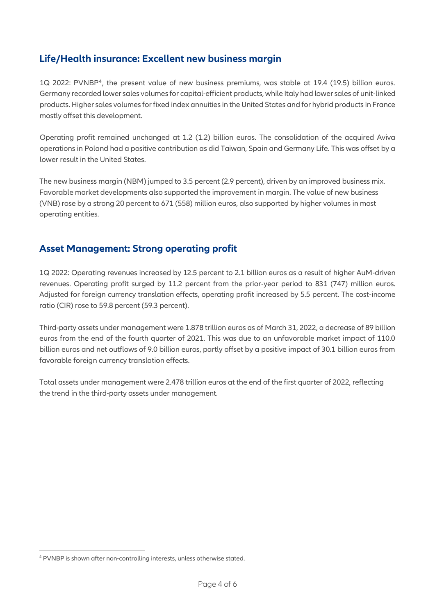### **Life/Health insurance: Excellent new business margin**

1Q 2022: PVNBP<sup>4</sup> , the present value of new business premiums, was stable at 19.4 (19.5) billion euros. Germany recorded lower sales volumes for capital-efficient products, while Italy had lower sales of unit-linked products. Higher sales volumes for fixed index annuities in the United States and for hybrid products in France mostly offset this development.

Operating profit remained unchanged at 1.2 (1.2) billion euros. The consolidation of the acquired Aviva operations in Poland had a positive contribution as did Taiwan, Spain and Germany Life. This was offset by a lower result in the United States.

The new business margin (NBM) jumped to 3.5 percent (2.9 percent), driven by an improved business mix. Favorable market developments also supported the improvement in margin. The value of new business (VNB) rose by a strong 20 percent to 671 (558) million euros, also supported by higher volumes in most operating entities.

### **Asset Management: Strong operating profit**

1Q 2022: Operating revenues increased by 12.5 percent to 2.1 billion euros as a result of higher AuM-driven revenues. Operating profit surged by 11.2 percent from the prior-year period to 831 (747) million euros. Adjusted for foreign currency translation effects, operating profit increased by 5.5 percent. The cost-income ratio (CIR) rose to 59.8 percent (59.3 percent).

Third-party assets under management were 1.878 trillion euros as of March 31, 2022, a decrease of 89 billion euros from the end of the fourth quarter of 2021. This was due to an unfavorable market impact of 110.0 billion euros and net outflows of 9.0 billion euros, partly offset by a positive impact of 30.1 billion euros from favorable foreign currency translation effects.

Total assets under management were 2.478 trillion euros at the end of the first quarter of 2022, reflecting the trend in the third-party assets under management.

-

<sup>4</sup> PVNBP is shown after non-controlling interests, unless otherwise stated.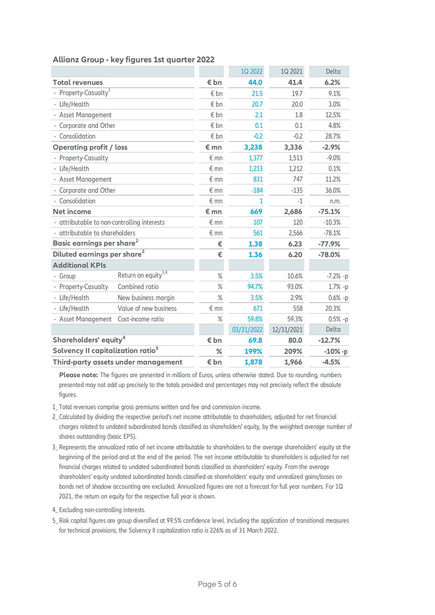|                                               |                                 |               | 1Q 2022      | 1Q 2021    | Delta      |
|-----------------------------------------------|---------------------------------|---------------|--------------|------------|------------|
| <b>Total revenues</b>                         |                                 | $\epsilon$ bn | 44.0         | 41.4       | 6.2%       |
| - Property-Casualty <sup>1</sup>              |                                 | € bn          | 21.5         | 19.7       | 9.1%       |
| - Life/Health                                 |                                 | € bn          | 20.7         | 20.0       | 3.0%       |
| - Asset Management                            |                                 | € bn          | 2.1          | 1.8        | 12.5%      |
| - Corporate and Other                         |                                 | $\epsilon$ bn | 0.1          | 0.1        | 4.8%       |
| - Consolidation                               |                                 | € bn          | $-0.2$       | $-0.2$     | 28.7%      |
| <b>Operating profit / loss</b>                |                                 | $\epsilon$ mn | 3,238        | 3,336      | $-2.9%$    |
| - Property-Casualty                           |                                 | $\epsilon$ mn | 1,377        | 1,513      | $-9.0%$    |
| - Life/Health                                 |                                 | $\notin$ mn   | 1,213        | 1,212      | 0.1%       |
| - Asset Management                            |                                 | $E$ mn        | 831          | 747        | 11.2%      |
| - Corporate and Other                         |                                 | $E$ mn        | $-184$       | $-135$     | 36.0%      |
| - Consolidation                               |                                 | $\notin$ mn   | $\mathbf{1}$ | $-1$       | n.m.       |
| <b>Net income</b>                             |                                 | € mn          | 669          | 2,686      | $-75.1%$   |
| - attributable to non-controlling interests   |                                 | $\epsilon$ mn | 107          | 120        | $-10.3%$   |
| - attributable to shareholders                |                                 | $\notin$ mn   | 561          | 2,566      | $-78.1%$   |
| Basic earnings per share <sup>2</sup>         |                                 | €             | 1.38         | 6.23       | $-77.9%$   |
| Diluted earnings per share <sup>2</sup>       |                                 | €             | 1.36         | 6.20       | $-78.0%$   |
| <b>Additional KPIs</b>                        |                                 |               |              |            |            |
| - Group                                       | Return on equity <sup>3,4</sup> | $\%$          | 3.5%         | 10.6%      | $-7.2%$ -p |
| - Property-Casualty                           | Combined ratio                  | $\%$          | 94.7%        | 93.0%      | $1.7% -p$  |
| - Life/Health                                 | New business margin             | $\%$          | 3.5%         | 2.9%       | $0.6% -p$  |
| - Life/Health                                 | Value of new business           | $\epsilon$ mn | 671          | 558        | 20.3%      |
| - Asset Management                            | Cost-income ratio               | $\%$          | 59.8%        | 59.3%      | $0.5% -p$  |
|                                               |                                 |               | 03/31/2022   | 12/31/2021 | Delta      |
| Shareholders' equity <sup>4</sup>             |                                 | € bn          | 69.8         | 80.0       | $-12.7%$   |
| Solvency II capitalization ratio <sup>5</sup> |                                 | %             | 199%         | 209%       | $-10%$ -p  |
| Third-party assets under management           |                                 | € bn          | 1,878        | 1,966      | $-4.5%$    |

### **Allianz Group - key figures 1st quarter 2022**

**Please note:** The figures are presented in millions of Euros, unless otherwise stated. Due to rounding, numbers presented may not add up precisely to the totals provided and percentages may not precisely reflect the absolute figures.

- 1\_ Total revenues comprise gross premiums written and fee and commission income.
- 2\_ Calculated by dividing the respective period's net income attributable to shareholders, adjusted for net financial charges related to undated subordinated bonds classified as shareholders' equity, by the weighted average number of shares outstanding (basic EPS).
- 3\_ Represents the annualized ratio of net income attributable to shareholders to the average shareholders' equity at the beginning of the period and at the end of the period. The net income attributable to shareholders is adjusted for net financial charges related to undated subordinated bonds classified as shareholders' equity. From the average shareholders' equity undated subordinated bonds classified as shareholders' equity and unrealized gains/losses on bonds net of shadow accounting are excluded. Annualized figures are not a forecast for full year numbers. For 1Q 2021, the return on equity for the respective full year is shown.
- 4\_ Excluding non-controlling interests.
- 5\_ Risk capital figures are group diversified at 99.5% confidence level. Including the application of transitional measures for technical provisions, the Solvency II capitalization ratio is 226% as of 31 March 2022.